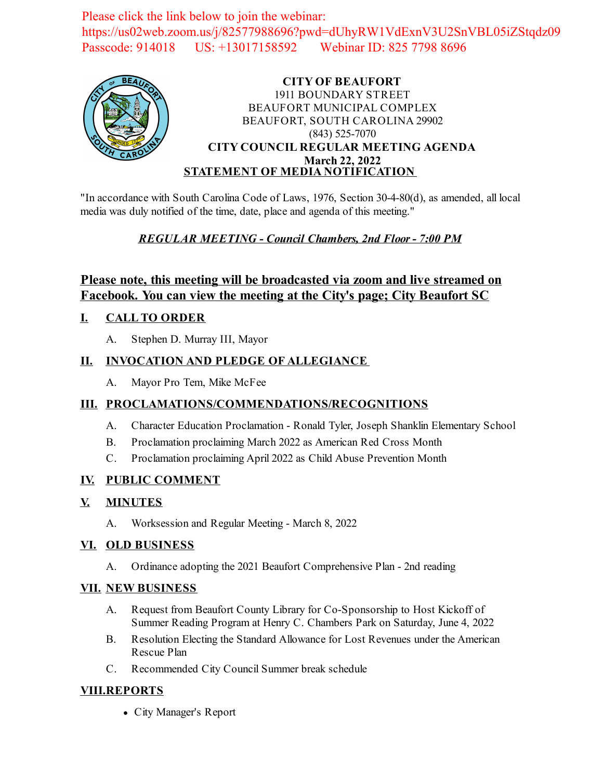Please click the link below to join the webinar: https://us02web.zoom.us/j/82577988696?pwd=dUhyRW1VdExnV3U2SnVBL05iZStqdz09 Passcode: 914018 US: +13017158592 Webinar ID: 825 7798 8696



#### **CITY OF BEAUFORT** 1911 BOUNDARY STREET BEAUFORT MUNICIPAL COMPLEX BEAUFORT, SOUTH CAROLINA 29902 (843) 525-7070 **CITY COUNCIL REGULAR MEETING AGENDA March 22, 2022 STATEMENT OF MEDIA NOTIFICATION**

"In accordance with South Carolina Code of Laws, 1976, Section 30-4-80(d), as amended, all local media was duly notified of the time, date, place and agenda of this meeting."

### *REGULAR MEETING - Council Chambers, 2nd Floor - 7:00 PM*

## **Please note, this meeting will be broadcasted via zoom and live streamed on Facebook. You can view the meeting at the City's page; City Beaufort SC**

#### **I. CALL TO ORDER**

A. Stephen D. Murray III, Mayor

#### **II. INVOCATION AND PLEDGE OF ALLEGIANCE**

A. Mayor Pro Tem, Mike McFee

#### **III. PROCLAMATIONS/COMMENDATIONS/RECOGNITIONS**

- A. Character Education Proclamation Ronald Tyler, Joseph Shanklin Elementary School
- B. [Proclamation proclaiming March 2022 as American Red Cross Month](file:///C:/Windows/TEMP/CoverSheet.aspx?ItemID=2444&MeetingID=351)
- C. [Proclamation proclaiming April 2022 as Child Abuse Prevention Month](file:///C:/Windows/TEMP/CoverSheet.aspx?ItemID=2455&MeetingID=351)

#### **IV. PUBLIC COMMENT**

- **V. MINUTES**
	- A. Worksession and Regular Meeting March 8, 2022

#### **VI. OLD BUSINESS**

A. [Ordinance adopting the 2021 Beaufort Comprehensive Plan - 2nd reading](file:///C:/Windows/TEMP/CoverSheet.aspx?ItemID=2457&MeetingID=351)

#### **VII. NEW BUSINESS**

- A. Request from Beaufort County Library for Co-Sponsorship to Host Kickoff of Summer Reading Program at Henry C. Chambers Park on Saturday, June 4, 2022
- B. [Resolution Electing the Standard Allowance for Lost Revenues under the American](file:///C:/Windows/TEMP/CoverSheet.aspx?ItemID=2460&MeetingID=351) Rescue Plan
- C. [Recommended City Council Summer break schedule](file:///C:/Windows/TEMP/CoverSheet.aspx?ItemID=2461&MeetingID=351)

#### **VIII.REPORTS**

City Manager's Report